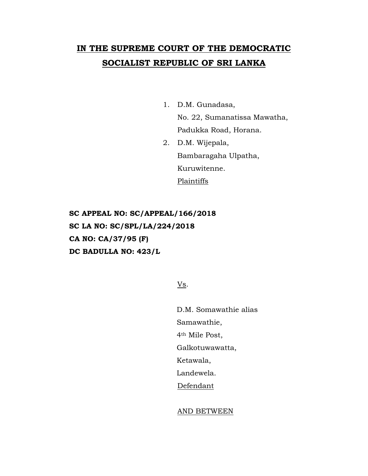## **IN THE SUPREME COURT OF THE DEMOCRATIC SOCIALIST REPUBLIC OF SRI LANKA**

1. D.M. Gunadasa,

No. 22, Sumanatissa Mawatha, Padukka Road, Horana.

2. D.M. Wijepala, Bambaragaha Ulpatha, Kuruwitenne. Plaintiffs

**SC APPEAL NO: SC/APPEAL/166/2018 SC LA NO: SC/SPL/LA/224/2018 CA NO: CA/37/95 (F) DC BADULLA NO: 423/L**

Vs.

D.M. Somawathie alias Samawathie, 4th Mile Post, Galkotuwawatta, Ketawala, Landewela. Defendant

## AND BETWEEN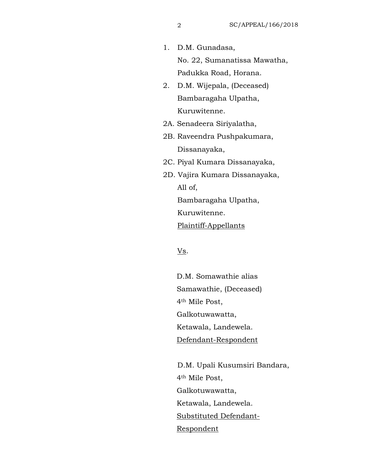1. D.M. Gunadasa,

No. 22, Sumanatissa Mawatha, Padukka Road, Horana.

- 2. D.M. Wijepala, (Deceased) Bambaragaha Ulpatha, Kuruwitenne.
- 2A. Senadeera Siriyalatha,
- 2B. Raveendra Pushpakumara, Dissanayaka,
- 2C. Piyal Kumara Dissanayaka,
- 2D. Vajira Kumara Dissanayaka, All of, Bambaragaha Ulpatha,

Kuruwitenne.

Plaintiff-Appellants

Vs.

D.M. Somawathie alias Samawathie, (Deceased) 4th Mile Post, Galkotuwawatta, Ketawala, Landewela. Defendant-Respondent

D.M. Upali Kusumsiri Bandara, 4th Mile Post, Galkotuwawatta, Ketawala, Landewela. Substituted Defendant-Respondent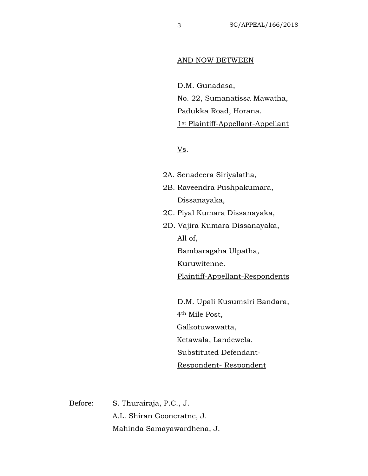## AND NOW BETWEEN

D.M. Gunadasa, No. 22, Sumanatissa Mawatha, Padukka Road, Horana. 1st Plaintiff-Appellant-Appellant

Vs.

- 2A. Senadeera Siriyalatha, 2B. Raveendra Pushpakumara,
	- Dissanayaka,
- 2C. Piyal Kumara Dissanayaka,
- 2D. Vajira Kumara Dissanayaka, All of, Bambaragaha Ulpatha,

Kuruwitenne.

Plaintiff-Appellant-Respondents

D.M. Upali Kusumsiri Bandara, 4th Mile Post, Galkotuwawatta, Ketawala, Landewela. Substituted Defendant-Respondent- Respondent

Before: S. Thurairaja, P.C., J. A.L. Shiran Gooneratne, J. Mahinda Samayawardhena, J.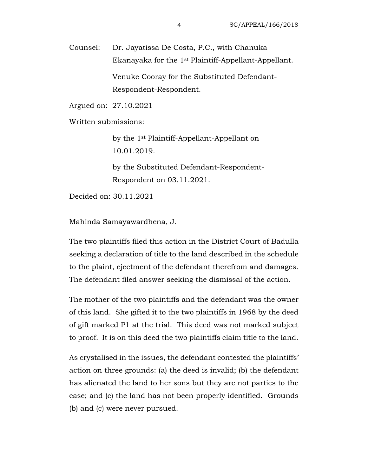Counsel: Dr. Jayatissa De Costa, P.C., with Chanuka Ekanayaka for the 1st Plaintiff-Appellant-Appellant. Venuke Cooray for the Substituted Defendant-Respondent-Respondent.

Argued on: 27.10.2021

Written submissions:

by the 1st Plaintiff-Appellant-Appellant on 10.01.2019.

by the Substituted Defendant-Respondent-Respondent on 03.11.2021.

Decided on: 30.11.2021

## Mahinda Samayawardhena, J.

The two plaintiffs filed this action in the District Court of Badulla seeking a declaration of title to the land described in the schedule to the plaint, ejectment of the defendant therefrom and damages. The defendant filed answer seeking the dismissal of the action.

The mother of the two plaintiffs and the defendant was the owner of this land. She gifted it to the two plaintiffs in 1968 by the deed of gift marked P1 at the trial. This deed was not marked subject to proof. It is on this deed the two plaintiffs claim title to the land.

As crystalised in the issues, the defendant contested the plaintiffs' action on three grounds: (a) the deed is invalid; (b) the defendant has alienated the land to her sons but they are not parties to the case; and (c) the land has not been properly identified. Grounds (b) and (c) were never pursued.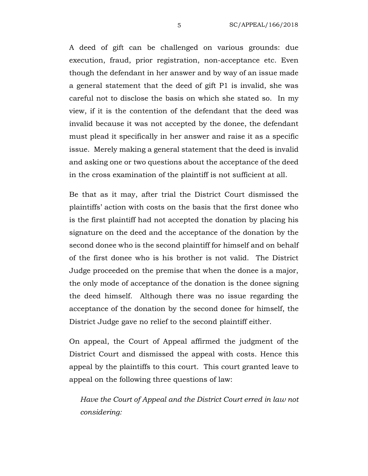A deed of gift can be challenged on various grounds: due execution, fraud, prior registration, non-acceptance etc. Even though the defendant in her answer and by way of an issue made a general statement that the deed of gift P1 is invalid, she was careful not to disclose the basis on which she stated so. In my view, if it is the contention of the defendant that the deed was invalid because it was not accepted by the donee, the defendant must plead it specifically in her answer and raise it as a specific issue. Merely making a general statement that the deed is invalid and asking one or two questions about the acceptance of the deed in the cross examination of the plaintiff is not sufficient at all.

Be that as it may, after trial the District Court dismissed the plaintiffs' action with costs on the basis that the first donee who is the first plaintiff had not accepted the donation by placing his signature on the deed and the acceptance of the donation by the second donee who is the second plaintiff for himself and on behalf of the first donee who is his brother is not valid. The District Judge proceeded on the premise that when the donee is a major, the only mode of acceptance of the donation is the donee signing the deed himself. Although there was no issue regarding the acceptance of the donation by the second donee for himself, the District Judge gave no relief to the second plaintiff either.

On appeal, the Court of Appeal affirmed the judgment of the District Court and dismissed the appeal with costs. Hence this appeal by the plaintiffs to this court. This court granted leave to appeal on the following three questions of law:

*Have the Court of Appeal and the District Court erred in law not considering:*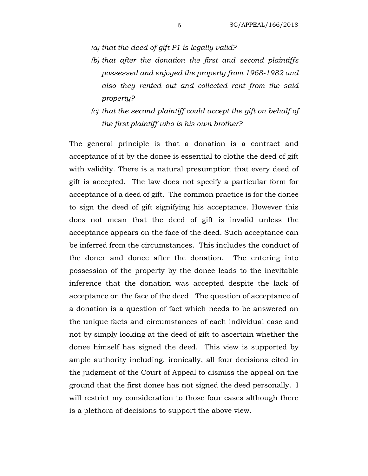- *(a) that the deed of gift P1 is legally valid?*
- *(b) that after the donation the first and second plaintiffs possessed and enjoyed the property from 1968-1982 and also they rented out and collected rent from the said property?*
- *(c) that the second plaintiff could accept the gift on behalf of the first plaintiff who is his own brother?*

The general principle is that a donation is a contract and acceptance of it by the donee is essential to clothe the deed of gift with validity. There is a natural presumption that every deed of gift is accepted. The law does not specify a particular form for acceptance of a deed of gift. The common practice is for the donee to sign the deed of gift signifying his acceptance. However this does not mean that the deed of gift is invalid unless the acceptance appears on the face of the deed. Such acceptance can be inferred from the circumstances. This includes the conduct of the doner and donee after the donation. The entering into possession of the property by the donee leads to the inevitable inference that the donation was accepted despite the lack of acceptance on the face of the deed. The question of acceptance of a donation is a question of fact which needs to be answered on the unique facts and circumstances of each individual case and not by simply looking at the deed of gift to ascertain whether the donee himself has signed the deed. This view is supported by ample authority including, ironically, all four decisions cited in the judgment of the Court of Appeal to dismiss the appeal on the ground that the first donee has not signed the deed personally. I will restrict my consideration to those four cases although there is a plethora of decisions to support the above view.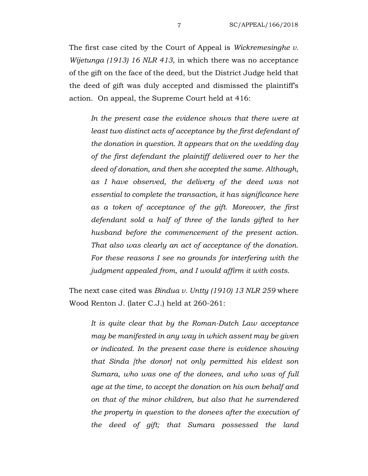The first case cited by the Court of Appeal is *Wickremesinghe v. Wijetunga (1913) 16 NLR 413*, in which there was no acceptance of the gift on the face of the deed, but the District Judge held that the deed of gift was duly accepted and dismissed the plaintiff's action. On appeal, the Supreme Court held at 416:

*In the present case the evidence shows that there were at least two distinct acts of acceptance by the first defendant of the donation in question. It appears that on the wedding day of the first defendant the plaintiff delivered over to her the deed of donation, and then she accepted the same. Although, as I have observed, the delivery of the deed was not essential to complete the transaction, it has significance here as a token of acceptance of the gift. Moreover, the first defendant sold a half of three of the lands gifted to her husband before the commencement of the present action. That also was clearly an act of acceptance of the donation. For these reasons I see no grounds for interfering with the judgment appealed from, and I would affirm it with costs.*

The next case cited was *Bindua v. Untty (1910) 13 NLR 259* where Wood Renton J. (later C.J.) held at 260-261:

*It is quite clear that by the Roman-Dutch Law acceptance may be manifested in any way in which assent may be given or indicated. In the present case there is evidence showing that Sinda [the donor] not only permitted his eldest son Sumara, who was one of the donees, and who was of full age at the time, to accept the donation on his own behalf and on that of the minor children, but also that he surrendered the property in question to the donees after the execution of the deed of gift; that Sumara possessed the land*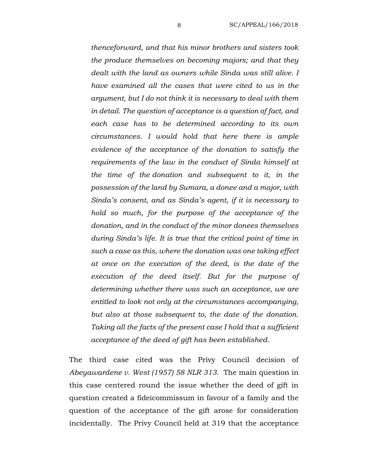*thenceforward, and that his minor brothers and sisters took the produce themselves on becoming majors; and that they dealt with the land as owners while Sinda was still alive. I have examined all the cases that were cited to us in the argument, but I do not think it is necessary to deal with them in detail. The question of acceptance is a question of fact, and each case has to be determined according to its own circumstances. I would hold that here there is ample evidence of the acceptance of the donation to satisfy the requirements of the law in the conduct of Sinda himself at the time of the donation and subsequent to it, in the possession of the land by Sumara, a donee and a major, with Sinda's consent, and as Sinda's agent, if it is necessary to hold so much, for the purpose of the acceptance of the donation, and in the conduct of the minor donees themselves during Sinda's life. It is true that the critical point of time in such a case as this, where the donation was one taking effect at once on the execution of the deed, is the date of the execution of the deed itself. But for the purpose of determining whether there was such an acceptance, we are entitled to look not only at the circumstances accompanying, but also at those subsequent to, the date of the donation. Taking all the facts of the present case I hold that a sufficient acceptance of the deed of gift has been established.* 

The third case cited was the Privy Council decision of *Abeyawardene v. West (1957) 58 NLR 313*. The main question in this case centered round the issue whether the deed of gift in question created a fideicommissum in favour of a family and the question of the acceptance of the gift arose for consideration incidentally. The Privy Council held at 319 that the acceptance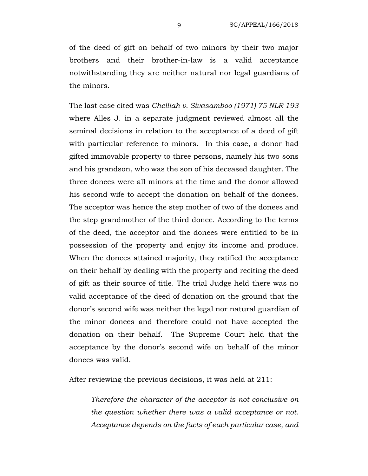of the deed of gift on behalf of two minors by their two major brothers and their brother-in-law is a valid acceptance notwithstanding they are neither natural nor legal guardians of the minors.

The last case cited was *Chelliah v. Sivasamboo (1971) 75 NLR 193* where Alles J. in a separate judgment reviewed almost all the seminal decisions in relation to the acceptance of a deed of gift with particular reference to minors. In this case, a donor had gifted immovable property to three persons, namely his two sons and his grandson, who was the son of his deceased daughter. The three donees were all minors at the time and the donor allowed his second wife to accept the donation on behalf of the donees. The acceptor was hence the step mother of two of the donees and the step grandmother of the third donee. According to the terms of the deed, the acceptor and the donees were entitled to be in possession of the property and enjoy its income and produce. When the donees attained majority, they ratified the acceptance on their behalf by dealing with the property and reciting the deed of gift as their source of title. The trial Judge held there was no valid acceptance of the deed of donation on the ground that the donor's second wife was neither the legal nor natural guardian of the minor donees and therefore could not have accepted the donation on their behalf. The Supreme Court held that the acceptance by the donor's second wife on behalf of the minor donees was valid.

After reviewing the previous decisions, it was held at 211:

*Therefore the character of the acceptor is not conclusive on the question whether there was a valid acceptance or not. Acceptance depends on the facts of each particular case, and*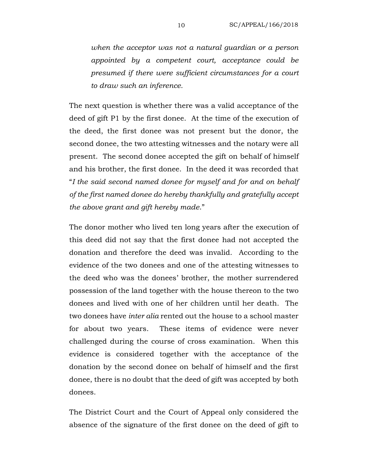*when the acceptor was not a natural guardian or a person appointed by a competent court, acceptance could be presumed if there were sufficient circumstances for a court to draw such an inference.*

The next question is whether there was a valid acceptance of the deed of gift P1 by the first donee. At the time of the execution of the deed, the first donee was not present but the donor, the second donee, the two attesting witnesses and the notary were all present. The second donee accepted the gift on behalf of himself and his brother, the first donee. In the deed it was recorded that "*I the said second named donee for myself and for and on behalf of the first named donee do hereby thankfully and gratefully accept the above grant and gift hereby made*."

The donor mother who lived ten long years after the execution of this deed did not say that the first donee had not accepted the donation and therefore the deed was invalid. According to the evidence of the two donees and one of the attesting witnesses to the deed who was the donees' brother, the mother surrendered possession of the land together with the house thereon to the two donees and lived with one of her children until her death. The two donees have *inter alia* rented out the house to a school master for about two years. These items of evidence were never challenged during the course of cross examination. When this evidence is considered together with the acceptance of the donation by the second donee on behalf of himself and the first donee, there is no doubt that the deed of gift was accepted by both donees.

The District Court and the Court of Appeal only considered the absence of the signature of the first donee on the deed of gift to